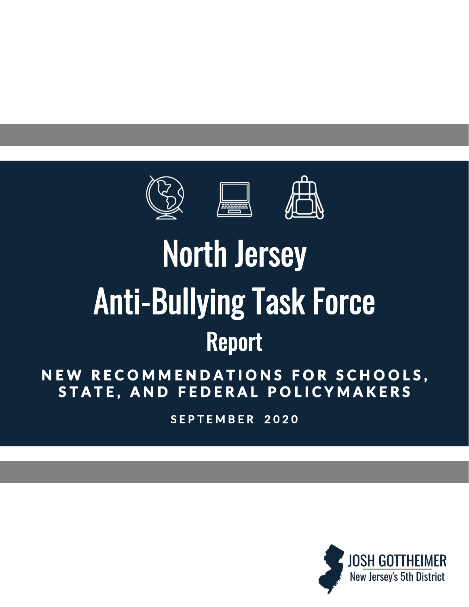



# **North Jersey Anti-Bullying Task Force Report**

# NEW RECOMMENDATIONS FOR SCHOOLS, STATE, AND FEDERAL POLICYMAKERS

SEPTEMBER 2020

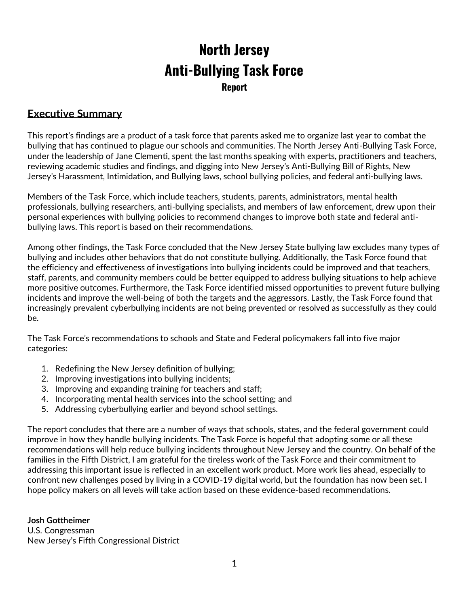# **North Jersey Anti-Bullying Task Force Report**

### **Executive Summary**

This report's findings are a product of a task force that parents asked me to organize last year to combat the bullying that has continued to plague our schools and communities. The North Jersey Anti-Bullying Task Force, under the leadership of Jane Clementi, spent the last months speaking with experts, practitioners and teachers, reviewing academic studies and findings, and digging into New Jersey's Anti-Bullying Bill of Rights, New Jersey's Harassment, Intimidation, and Bullying laws, school bullying policies, and federal anti-bullying laws.

Members of the Task Force, which include teachers, students, parents, administrators, mental health professionals, bullying researchers, anti-bullying specialists, and members of law enforcement, drew upon their personal experiences with bullying policies to recommend changes to improve both state and federal antibullying laws. This report is based on their recommendations.

Among other findings, the Task Force concluded that the New Jersey State bullying law excludes many types of bullying and includes other behaviors that do not constitute bullying. Additionally, the Task Force found that the efficiency and effectiveness of investigations into bullying incidents could be improved and that teachers, staff, parents, and community members could be better equipped to address bullying situations to help achieve more positive outcomes. Furthermore, the Task Force identified missed opportunities to prevent future bullying incidents and improve the well-being of both the targets and the aggressors. Lastly, the Task Force found that increasingly prevalent cyberbullying incidents are not being prevented or resolved as successfully as they could be.

The Task Force's recommendations to schools and State and Federal policymakers fall into five major categories:

- 1. Redefining the New Jersey definition of bullying;
- 2. Improving investigations into bullying incidents;
- 3. Improving and expanding training for teachers and staff;
- 4. Incorporating mental health services into the school setting; and
- 5. Addressing cyberbullying earlier and beyond school settings.

The report concludes that there are a number of ways that schools, states, and the federal government could improve in how they handle bullying incidents. The Task Force is hopeful that adopting some or all these recommendations will help reduce bullying incidents throughout New Jersey and the country. On behalf of the families in the Fifth District, I am grateful for the tireless work of the Task Force and their commitment to addressing this important issue is reflected in an excellent work product. More work lies ahead, especially to confront new challenges posed by living in a COVID-19 digital world, but the foundation has now been set. I hope policy makers on all levels will take action based on these evidence-based recommendations.

**Josh Gottheimer** U.S. Congressman New Jersey's Fifth Congressional District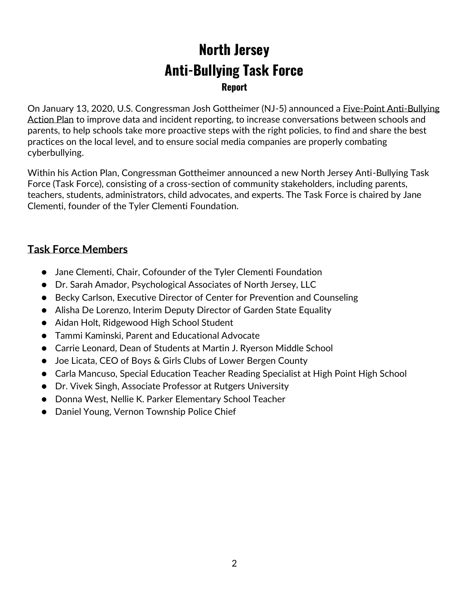# **North Jersey Anti-Bullying Task Force Report**

On January 13, 2020, U.S. Congressman Josh Gottheimer (NJ-5) announced a [Five-Point Anti-Bullying](https://gottheimer.house.gov/news/documentsingle.aspx?DocumentID=1708)  [Action Plan](https://gottheimer.house.gov/news/documentsingle.aspx?DocumentID=1708) to improve data and incident reporting, to increase conversations between schools and parents, to help schools take more proactive steps with the right policies, to find and share the best practices on the local level, and to ensure social media companies are properly combating cyberbullying.

Within his Action Plan, Congressman Gottheimer announced a new North Jersey Anti-Bullying Task Force (Task Force), consisting of a cross-section of community stakeholders, including parents, teachers, students, administrators, child advocates, and experts. The Task Force is chaired by Jane Clementi, founder of the Tyler Clementi Foundation.

# **Task Force Members**

- Jane Clementi, Chair, Cofounder of the Tyler Clementi Foundation
- Dr. Sarah Amador, Psychological Associates of North Jersey, LLC
- Becky Carlson, Executive Director of Center for Prevention and Counseling
- Alisha De Lorenzo, Interim Deputy Director of Garden State Equality
- Aidan Holt, Ridgewood High School Student
- Tammi Kaminski, Parent and Educational Advocate
- Carrie Leonard, Dean of Students at Martin J. Ryerson Middle School
- Joe Licata, CEO of Boys & Girls Clubs of Lower Bergen County
- Carla Mancuso, Special Education Teacher Reading Specialist at High Point High School
- Dr. Vivek Singh, Associate Professor at Rutgers University
- Donna West, Nellie K. Parker Elementary School Teacher
- Daniel Young, Vernon Township Police Chief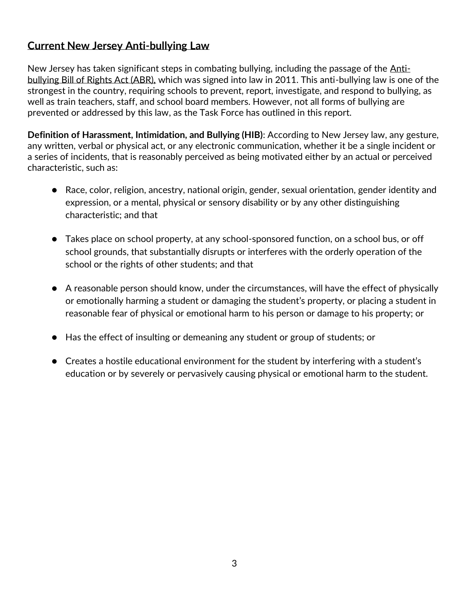# **Current New Jersey Anti-bullying Law**

New Jersey has taken significant steps in combating bullying, including the passage of the [Anti](https://www.njleg.state.nj.us/2010/Bills/PL10/122_.PDF)[bullying Bill of Rights Act \(ABR\),](https://www.njleg.state.nj.us/2010/Bills/PL10/122_.PDF) which was signed into law in 2011. This anti-bullying law is one of the strongest in the country, requiring schools to prevent, report, investigate, and respond to bullying, as well as train teachers, staff, and school board members. However, not all forms of bullying are prevented or addressed by this law, as the Task Force has outlined in this report.

**Definition of Harassment, Intimidation, and Bullying (HIB)**: According to New Jersey law, any gesture, any written, verbal or physical act, or any electronic communication, whether it be a single incident or a series of incidents, that is reasonably perceived as being motivated either by an actual or perceived characteristic, such as:

- Race, color, religion, ancestry, national origin, gender, sexual orientation, gender identity and expression, or a mental, physical or sensory disability or by any other distinguishing characteristic; and that
- Takes place on school property, at any school-sponsored function, on a school bus, or off school grounds, that substantially disrupts or interferes with the orderly operation of the school or the rights of other students; and that
- A reasonable person should know, under the circumstances, will have the effect of physically or emotionally harming a student or damaging the student's property, or placing a student in reasonable fear of physical or emotional harm to his person or damage to his property; or
- Has the effect of insulting or demeaning any student or group of students; or
- Creates a hostile educational environment for the student by interfering with a student's education or by severely or pervasively causing physical or emotional harm to the student.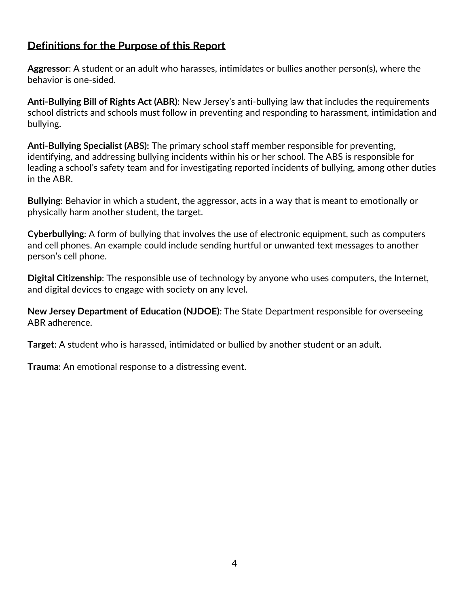# **Definitions for the Purpose of this Report**

**Aggressor**: A student or an adult who harasses, intimidates or bullies another person(s), where the behavior is one-sided.

**[Anti-Bullying Bill of Rights Act \(ABR\)](https://www.njleg.state.nj.us/2010/Bills/PL10/122_.PDF)**: New Jersey's anti-bullying law that includes the requirements school districts and schools must follow in preventing and responding to harassment, intimidation and bullying.

**Anti-Bullying Specialist (ABS):** The primary school staff member responsible for preventing, identifying, and addressing bullying incidents within his or her school. The ABS is responsible for leading a school's safety team and for investigating reported incidents of bullying, among other duties in the ABR.

**Bullying**: Behavior in which a student, the aggressor, acts in a way that is meant to emotionally or physically harm another student, the target.

**Cyberbullying**: A form of bullying that involves the use of electronic equipment, such as computers and cell phones. An example could include sending hurtful or unwanted text messages to another person's cell phone.

**Digital Citizenship**: The responsible use of technology by anyone who uses computers, the Internet, and digital devices to engage with society on any level.

**New Jersey Department of Education (NJDOE)**: The State Department responsible for overseeing ABR adherence.

**Target**: A student who is harassed, intimidated or bullied by another student or an adult.

**Trauma**: An emotional response to a distressing event.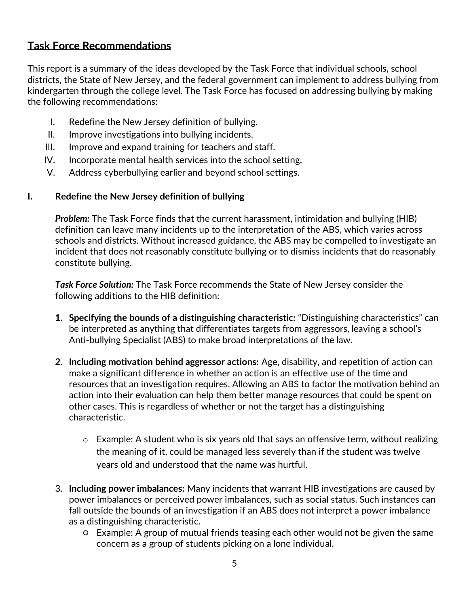# **Task Force Recommendations**

This report is a summary of the ideas developed by the Task Force that individual schools, school districts, the State of New Jersey, and the federal government can implement to address bullying from kindergarten through the college level. The Task Force has focused on addressing bullying by making the following recommendations:

- I. Redefine the New Jersey definition of bullying.
- II. Improve investigations into bullying incidents.
- III. Improve and expand training for teachers and staff.
- IV. Incorporate mental health services into the school setting.
- V. Address cyberbullying earlier and beyond school settings.

#### **I. Redefine the New Jersey definition of bullying**

*Problem:* The Task Force finds that the current harassment, intimidation and bullying (HIB) definition can leave many incidents up to the interpretation of the ABS, which varies across schools and districts. Without increased guidance, the ABS may be compelled to investigate an incident that does not reasonably constitute bullying or to dismiss incidents that do reasonably constitute bullying.

*Task Force Solution:* The Task Force recommends the State of New Jersey consider the following additions to the HIB definition:

- **1. Specifying the bounds of a distinguishing characteristic:** "Distinguishing characteristics" can be interpreted as anything that differentiates targets from aggressors, leaving a school's Anti-bullying Specialist (ABS) to make broad interpretations of the law.
- **2. Including motivation behind aggressor actions:** Age, disability, and repetition of action can make a significant difference in whether an action is an effective use of the time and resources that an investigation requires. Allowing an ABS to factor the motivation behind an action into their evaluation can help them better manage resources that could be spent on other cases. This is regardless of whether or not the target has a distinguishing characteristic.
	- o Example: A student who is six years old that says an offensive term, without realizing the meaning of it, could be managed less severely than if the student was twelve years old and understood that the name was hurtful.
- 3. **Including power imbalances:** Many incidents that warrant HIB investigations are caused by power imbalances or perceived power imbalances, such as social status. Such instances can fall outside the bounds of an investigation if an ABS does not interpret a power imbalance as a distinguishing characteristic.
	- Example: A group of mutual friends teasing each other would not be given the same concern as a group of students picking on a lone individual.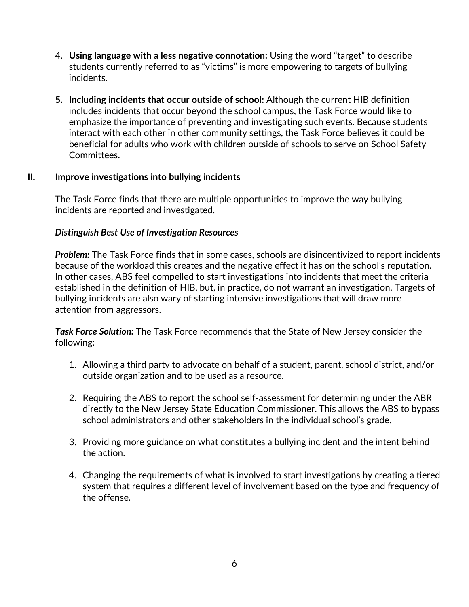- 4. **Using language with a less negative connotation:** Using the word "target" to describe students currently referred to as "victims" is more empowering to targets of bullying incidents.
- **5. Including incidents that occur outside of school:** Although the current HIB definition includes incidents that occur beyond the school campus, the Task Force would like to emphasize the importance of preventing and investigating such events. Because students interact with each other in other community settings, the Task Force believes it could be beneficial for adults who work with children outside of schools to serve on School Safety Committees.

#### **II. Improve investigations into bullying incidents**

The Task Force finds that there are multiple opportunities to improve the way bullying incidents are reported and investigated.

#### *Distinguish Best Use of Investigation Resources*

*Problem:* The Task Force finds that in some cases, schools are disincentivized to report incidents because of the workload this creates and the negative effect it has on the school's reputation. In other cases, ABS feel compelled to start investigations into incidents that meet the criteria established in the definition of HIB, but, in practice, do not warrant an investigation. Targets of bullying incidents are also wary of starting intensive investigations that will draw more attention from aggressors.

*Task Force Solution:* The Task Force recommends that the State of New Jersey consider the following:

- 1. Allowing a third party to advocate on behalf of a student, parent, school district, and/or outside organization and to be used as a resource.
- 2. Requiring the ABS to report the school self-assessment for determining under the ABR directly to the New Jersey State Education Commissioner. This allows the ABS to bypass school administrators and other stakeholders in the individual school's grade.
- 3. Providing more guidance on what constitutes a bullying incident and the intent behind the action.
- 4. Changing the requirements of what is involved to start investigations by creating a tiered system that requires a different level of involvement based on the type and frequency of the offense.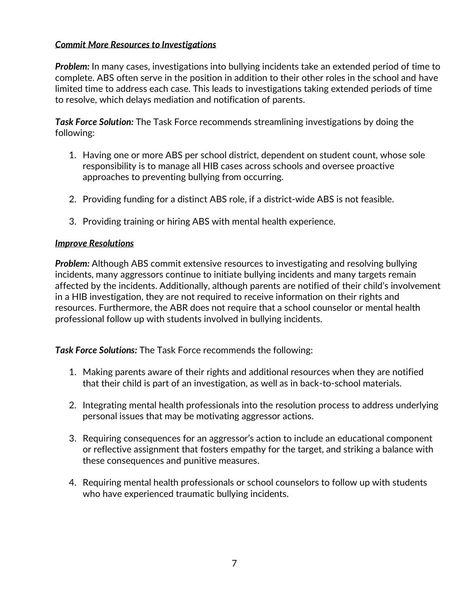#### *Commit More Resources to Investigations*

**Problem:** In many cases, investigations into bullying incidents take an extended period of time to complete. ABS often serve in the position in addition to their other roles in the school and have limited time to address each case. This leads to investigations taking extended periods of time to resolve, which delays mediation and notification of parents.

*Task Force Solution:* The Task Force recommends streamlining investigations by doing the following:

- 1. Having one or more ABS per school district, dependent on student count, whose sole responsibility is to manage all HIB cases across schools and oversee proactive approaches to preventing bullying from occurring.
- 2. Providing funding for a distinct ABS role, if a district-wide ABS is not feasible.
- 3. Providing training or hiring ABS with mental health experience.

#### *Improve Resolutions*

*Problem:* Although ABS commit extensive resources to investigating and resolving bullying incidents, many aggressors continue to initiate bullying incidents and many targets remain affected by the incidents. Additionally, although parents are notified of their child's involvement in a HIB investigation, they are not required to receive information on their rights and resources. Furthermore, the ABR does not require that a school counselor or mental health professional follow up with students involved in bullying incidents.

*Task Force Solutions:* The Task Force recommends the following:

- 1. Making parents aware of their rights and additional resources when they are notified that their child is part of an investigation, as well as in back-to-school materials.
- 2. Integrating mental health professionals into the resolution process to address underlying personal issues that may be motivating aggressor actions.
- 3. Requiring consequences for an aggressor's action to include an educational component or reflective assignment that fosters empathy for the target, and striking a balance with these consequences and punitive measures.
- 4. Requiring mental health professionals or school counselors to follow up with students who have experienced traumatic bullying incidents.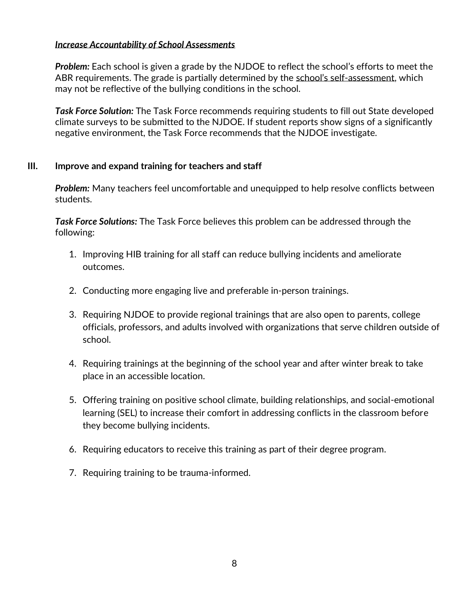#### *Increase Accountability of School Assessments*

*Problem:* Each school is given a grade by the NJDOE to reflect the school's efforts to meet the ABR requirements. The grade is partially determined by the school's self[-assessment,](https://www.nj.gov/education/students/safety/behavior/hib/guidance/pm1819/AppendixB.pdf) which may not be reflective of the bullying conditions in the school.

*Task Force Solution:* The Task Force recommends requiring students to fill out State developed climate surveys to be submitted to the NJDOE. If student reports show signs of a significantly negative environment, the Task Force recommends that the NJDOE investigate.

#### **III. Improve and expand training for teachers and staff**

*Problem:* Many teachers feel uncomfortable and unequipped to help resolve conflicts between students.

*Task Force Solutions:* The Task Force believes this problem can be addressed through the following:

- 1. Improving HIB training for all staff can reduce bullying incidents and ameliorate outcomes.
- 2. Conducting more engaging live and preferable in-person trainings.
- 3. Requiring NJDOE to provide regional trainings that are also open to parents, college officials, professors, and adults involved with organizations that serve children outside of school.
- 4. Requiring trainings at the beginning of the school year and after winter break to take place in an accessible location.
- 5. Offering training on positive school climate, building relationships, and social-emotional learning (SEL) to increase their comfort in addressing conflicts in the classroom before they become bullying incidents.
- 6. Requiring educators to receive this training as part of their degree program.
- 7. Requiring training to be trauma-informed.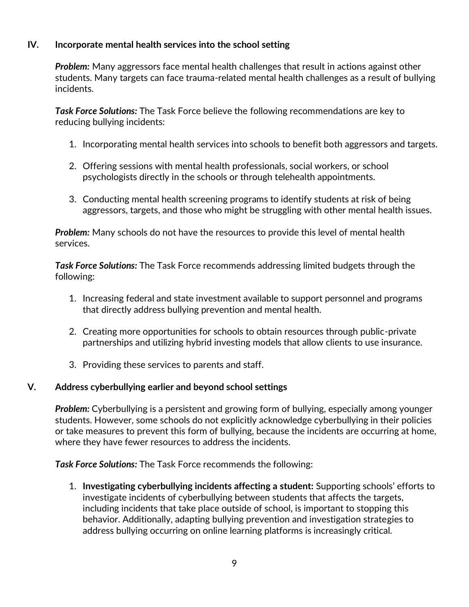#### **IV. Incorporate mental health services into the school setting**

*Problem:* Many aggressors face mental health challenges that result in actions against other students. Many targets can face trauma-related mental health challenges as a result of bullying incidents.

*Task Force Solutions:* The Task Force believe the following recommendations are key to reducing bullying incidents:

- 1. Incorporating mental health services into schools to benefit both aggressors and targets.
- 2. Offering sessions with mental health professionals, social workers, or school psychologists directly in the schools or through telehealth appointments.
- 3. Conducting mental health screening programs to identify students at risk of being aggressors, targets, and those who might be struggling with other mental health issues.

*Problem:* Many schools do not have the resources to provide this level of mental health services.

*Task Force Solutions:* The Task Force recommends addressing limited budgets through the following:

- 1. Increasing federal and state investment available to support personnel and programs that directly address bullying prevention and mental health.
- 2. Creating more opportunities for schools to obtain resources through public-private partnerships and utilizing hybrid investing models that allow clients to use insurance.
- 3. Providing these services to parents and staff.

#### **V. Address cyberbullying earlier and beyond school settings**

*Problem:* Cyberbullying is a persistent and growing form of bullying, especially among younger students. However, some schools do not explicitly acknowledge cyberbullying in their policies or take measures to prevent this form of bullying, because the incidents are occurring at home, where they have fewer resources to address the incidents.

*Task Force Solutions:* The Task Force recommends the following:

1. **Investigating cyberbullying incidents affecting a student:** Supporting schools' efforts to investigate incidents of cyberbullying between students that affects the targets, including incidents that take place outside of school, is important to stopping this behavior. Additionally, adapting bullying prevention and investigation strategies to address bullying occurring on online learning platforms is increasingly critical.